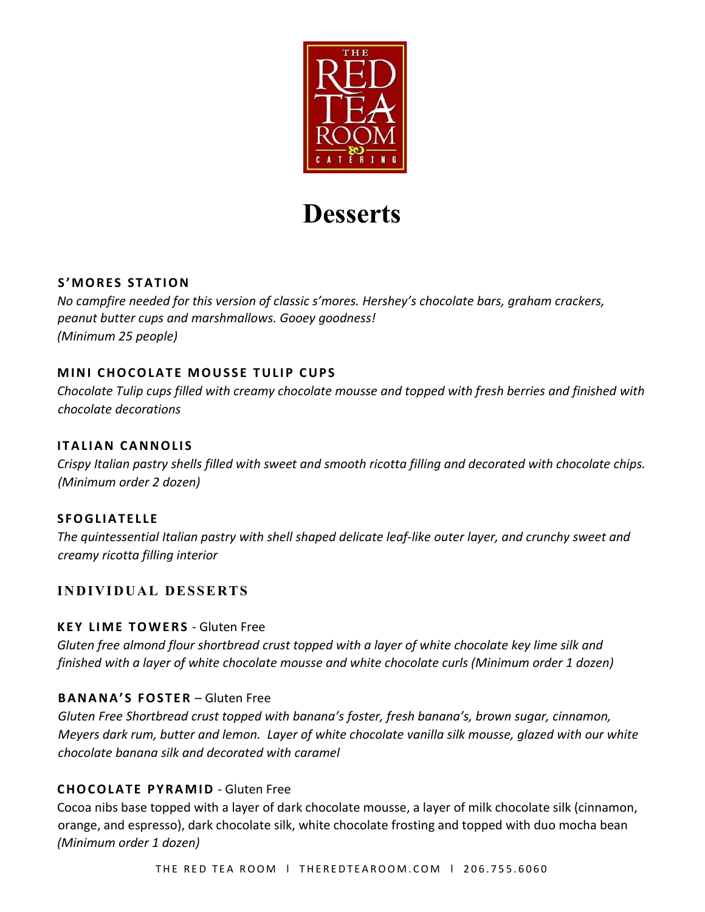

# **Desserts**

# **S'MORES STATION**

*No campfire needed for this version of classic s'mores. Hershey's chocolate bars, graham crackers, peanut butter cups and marshmallows. Gooey goodness! (Minimum 25 people)* 

# **MINI CHOCOLATE MOUSSE TULIP CUPS**

*Chocolate Tulip cups filled with creamy chocolate mousse and topped with fresh berries and finished with chocolate decorations*

# **ITALIAN CANNOLIS**

*Crispy Italian pastry shells filled with sweet and smooth ricotta filling and decorated with chocolate chips. (Minimum order 2 dozen)*

# **SFOGLIATELLE**

*The quintessential Italian pastry with shell shaped delicate leaf-like outer layer, and crunchy sweet and creamy ricotta filling interior*

# **INDIVIDUAL DESSERTS**

# **KEY LIME TOWERS** - Gluten Free

*Gluten free almond flour shortbread crust topped with a layer of white chocolate key lime silk and finished with a layer of white chocolate mousse and white chocolate curls (Minimum order 1 dozen)* 

# **BANANA'S FOSTER** – Gluten Free

*Gluten Free Shortbread crust topped with banana's foster, fresh banana's, brown sugar, cinnamon, Meyers dark rum, butter and lemon. Layer of white chocolate vanilla silk mousse, glazed with our white chocolate banana silk and decorated with caramel*

# **CHOCOLATE PYRAMID** - Gluten Free

Cocoa nibs base topped with a layer of dark chocolate mousse, a layer of milk chocolate silk (cinnamon, orange, and espresso), dark chocolate silk, white chocolate frosting and topped with duo mocha bean *(Minimum order 1 dozen)*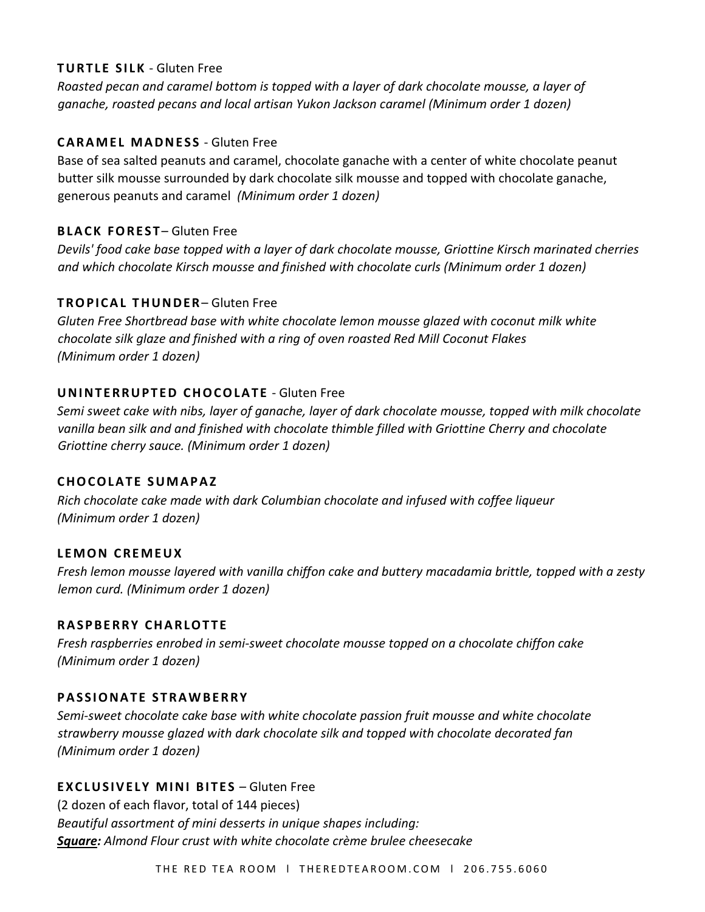#### **TURTLE SILK** - Gluten Free

*Roasted pecan and caramel bottom is topped with a layer of dark chocolate mousse, a layer of ganache, roasted pecans and local artisan Yukon Jackson caramel (Minimum order 1 dozen)* 

# **CARAMEL MADNESS** - Gluten Free

Base of sea salted peanuts and caramel, chocolate ganache with a center of white chocolate peanut butter silk mousse surrounded by dark chocolate silk mousse and topped with chocolate ganache, generous peanuts and caramel *(Minimum order 1 dozen)* 

# **BLACK FOREST-Gluten Free**

*Devils' food cake base topped with a layer of dark chocolate mousse, Griottine Kirsch marinated cherries and which chocolate Kirsch mousse and finished with chocolate curls (Minimum order 1 dozen)* 

# **TROPICAL THUNDER**– Gluten Free

*Gluten Free Shortbread base with white chocolate lemon mousse glazed with coconut milk white chocolate silk glaze and finished with a ring of oven roasted Red Mill Coconut Flakes (Minimum order 1 dozen)* 

# **UNINTERRUPTED CHOCOLATE** - Gluten Free

*Semi sweet cake with nibs, layer of ganache, layer of dark chocolate mousse, topped with milk chocolate vanilla bean silk and and finished with chocolate thimble filled with Griottine Cherry and chocolate Griottine cherry sauce. (Minimum order 1 dozen)* 

# **CHOCOLATE SUMAPAZ**

*Rich chocolate cake made with dark Columbian chocolate and infused with coffee liqueur (Minimum order 1 dozen)* 

# **LEMON CREMEUX**

*Fresh lemon mousse layered with vanilla chiffon cake and buttery macadamia brittle, topped with a zesty lemon curd. (Minimum order 1 dozen)* 

# **RASPBERRY CHARLOTTE**

*Fresh raspberries enrobed in semi-sweet chocolate mousse topped on a chocolate chiffon cake (Minimum order 1 dozen)* 

# **PASSIONATE STRAWBERRY**

*Semi-sweet chocolate cake base with white chocolate passion fruit mousse and white chocolate strawberry mousse glazed with dark chocolate silk and topped with chocolate decorated fan (Minimum order 1 dozen)* 

# **EXCLUSIVELY MINI BITES - Gluten Free**

(2 dozen of each flavor, total of 144 pieces) *Beautiful assortment of mini desserts in unique shapes including: Square: Almond Flour crust with white chocolate crème brulee cheesecake*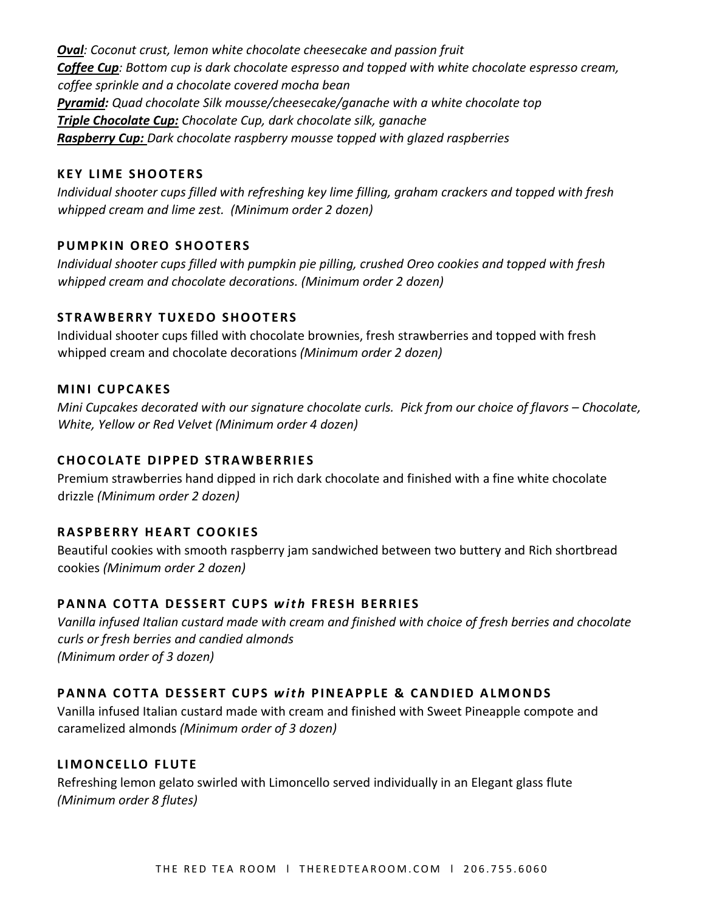*Oval: Coconut crust, lemon white chocolate cheesecake and passion fruit Coffee Cup: Bottom cup is dark chocolate espresso and topped with white chocolate espresso cream, coffee sprinkle and a chocolate covered mocha bean Pyramid: Quad chocolate Silk mousse/cheesecake/ganache with a white chocolate top Triple Chocolate Cup: Chocolate Cup, dark chocolate silk, ganache Raspberry Cup: Dark chocolate raspberry mousse topped with glazed raspberries*

# **KEY LIME SHOOTERS**

*Individual shooter cups filled with refreshing key lime filling, graham crackers and topped with fresh whipped cream and lime zest. (Minimum order 2 dozen)* 

#### **PUMPKIN OREO SHOOTERS**

*Individual shooter cups filled with pumpkin pie pilling, crushed Oreo cookies and topped with fresh whipped cream and chocolate decorations. (Minimum order 2 dozen)* 

#### **STRAWBERRY TUXEDO SHOOTERS**

Individual shooter cups filled with chocolate brownies, fresh strawberries and topped with fresh whipped cream and chocolate decorations *(Minimum order 2 dozen)* 

#### **MINI CUPCAKES**

*Mini Cupcakes decorated with our signature chocolate curls. Pick from our choice of flavors – Chocolate, White, Yellow or Red Velvet (Minimum order 4 dozen)* 

# **CHOCOLATE DIPPED STRAWBERRIES**

Premium strawberries hand dipped in rich dark chocolate and finished with a fine white chocolate drizzle *(Minimum order 2 dozen)* 

# **RASPBERRY HEART COOKIES**

Beautiful cookies with smooth raspberry jam sandwiched between two buttery and Rich shortbread cookies *(Minimum order 2 dozen)* 

# **PANNA COTTA DESSERT CUPS** *with* **FRESH BERRIES**

*Vanilla infused Italian custard made with cream and finished with choice of fresh berries and chocolate curls or fresh berries and candied almonds (Minimum order of 3 dozen)* 

# **PANNA COTTA DESSERT CUPS** *with* **PINEAPPLE & CANDIED ALMONDS**

Vanilla infused Italian custard made with cream and finished with Sweet Pineapple compote and caramelized almonds *(Minimum order of 3 dozen)* 

#### **LIMONCELLO FLUTE**

Refreshing lemon gelato swirled with Limoncello served individually in an Elegant glass flute *(Minimum order 8 flutes)*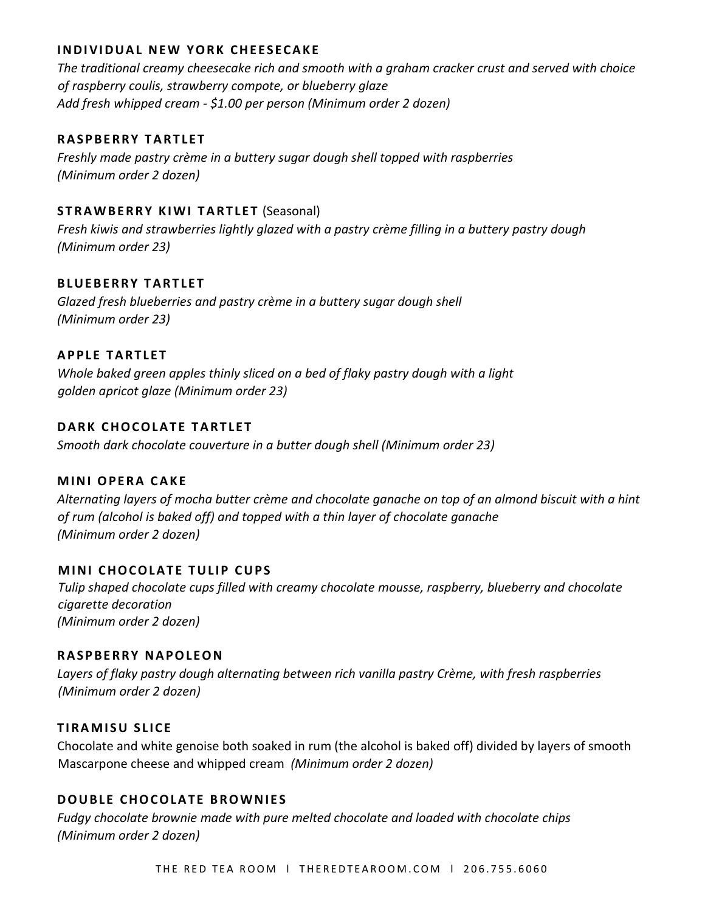#### **INDIVIDUAL NEW YORK CHEESECAKE**

*The traditional creamy cheesecake rich and smooth with a graham cracker crust and served with choice of raspberry coulis, strawberry compote, or blueberry glaze Add fresh whipped cream - \$1.00 per person (Minimum order 2 dozen)* 

#### **RASPBERRY TARTLET**

*Freshly made pastry crème in a buttery sugar dough shell topped with raspberries (Minimum order 2 dozen)* 

#### **STRAWBERRY KIWI TARTLET (Seasonal)**

*Fresh kiwis and strawberries lightly glazed with a pastry crème filling in a buttery pastry dough (Minimum order 23)*

#### **BLUEBERRY TARTLET**

*Glazed fresh blueberries and pastry crème in a buttery sugar dough shell (Minimum order 23)*

#### **APPLE TARTLET**

*Whole baked green apples thinly sliced on a bed of flaky pastry dough with a light golden apricot glaze (Minimum order 23)*

#### **DARK CHOCOLATE TARTLET**

*Smooth dark chocolate couverture in a butter dough shell (Minimum order 23)* 

#### **MINI OPERA CAKE**

*Alternating layers of mocha butter crème and chocolate ganache on top of an almond biscuit with a hint of rum (alcohol is baked off) and topped with a thin layer of chocolate ganache (Minimum order 2 dozen)* 

#### **MINI CHOCOLATE TULIP CUPS**

*Tulip shaped chocolate cups filled with creamy chocolate mousse, raspberry, blueberry and chocolate cigarette decoration (Minimum order 2 dozen)* 

#### **RASPBERRY NAPOLEON**

*Layers of flaky pastry dough alternating between rich vanilla pastry Crème, with fresh raspberries (Minimum order 2 dozen)* 

#### **TIRAMISU SLICE**

Chocolate and white genoise both soaked in rum (the alcohol is baked off) divided by layers of smooth Mascarpone cheese and whipped cream *(Minimum order 2 dozen)* 

#### **DOUBLE CHOCOLATE BROWNIES**

*Fudgy chocolate brownie made with pure melted chocolate and loaded with chocolate chips (Minimum order 2 dozen)*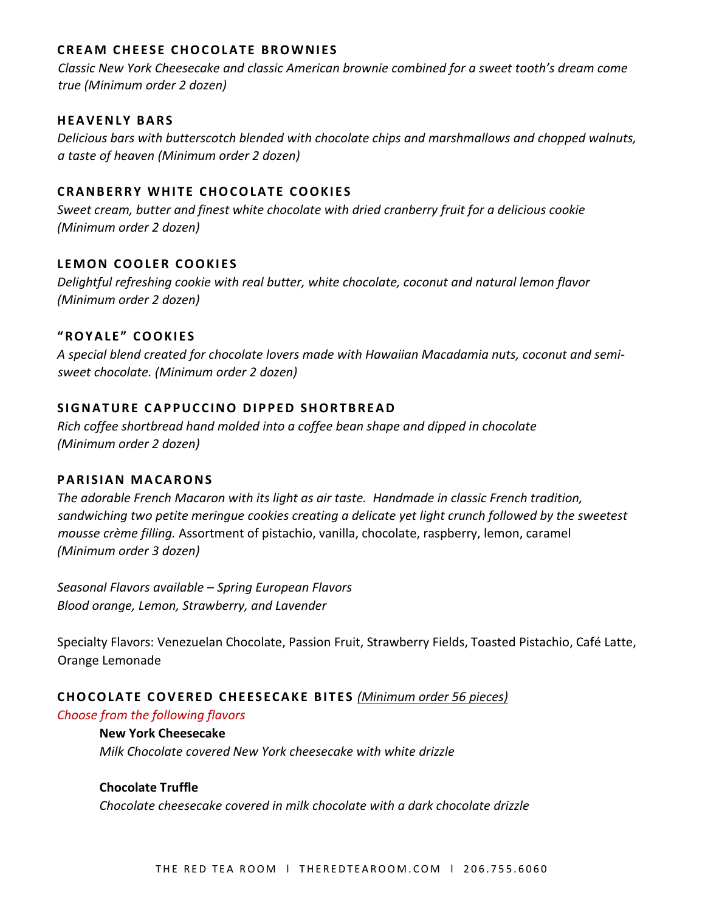# **CREAM CHEESE CHOCOLATE BROWNIES**

*Classic New York Cheesecake and classic American brownie combined for a sweet tooth's dream come true (Minimum order 2 dozen)* 

# **HEAVENLY BARS**

*Delicious bars with butterscotch blended with chocolate chips and marshmallows and chopped walnuts, a taste of heaven (Minimum order 2 dozen)* 

# **CRANBERRY WHITE CHOCOLATE COOKIES**

*Sweet cream, butter and finest white chocolate with dried cranberry fruit for a delicious cookie (Minimum order 2 dozen)* 

# **LEMON COOLER COOKIES**

*Delightful refreshing cookie with real butter, white chocolate, coconut and natural lemon flavor (Minimum order 2 dozen)* 

# **"ROYALE" COOKIES**

*A special blend created for chocolate lovers made with Hawaiian Macadamia nuts, coconut and semisweet chocolate. (Minimum order 2 dozen)* 

# **SIGNATURE CAPPUCCINO DIPPED SHORTBREAD**

*Rich coffee shortbread hand molded into a coffee bean shape and dipped in chocolate (Minimum order 2 dozen)* 

# **PARISIAN MACARONS**

*The adorable French Macaron with its light as air taste. Handmade in classic French tradition, sandwiching two petite meringue cookies creating a delicate yet light crunch followed by the sweetest mousse crème filling.* Assortment of pistachio, vanilla, chocolate, raspberry, lemon, caramel *(Minimum order 3 dozen)* 

*Seasonal Flavors available – Spring European Flavors Blood orange, Lemon, Strawberry, and Lavender*

Specialty Flavors: Venezuelan Chocolate, Passion Fruit, Strawberry Fields, Toasted Pistachio, Café Latte, Orange Lemonade

# **CHOCOLATE COVERED CHEESECAKE BITES** *(Minimum order 56 pieces)*

#### *Choose from the following flavors*

#### **New York Cheesecake**

*Milk Chocolate covered New York cheesecake with white drizzle* 

# **Chocolate Truffle**

*Chocolate cheesecake covered in milk chocolate with a dark chocolate drizzle*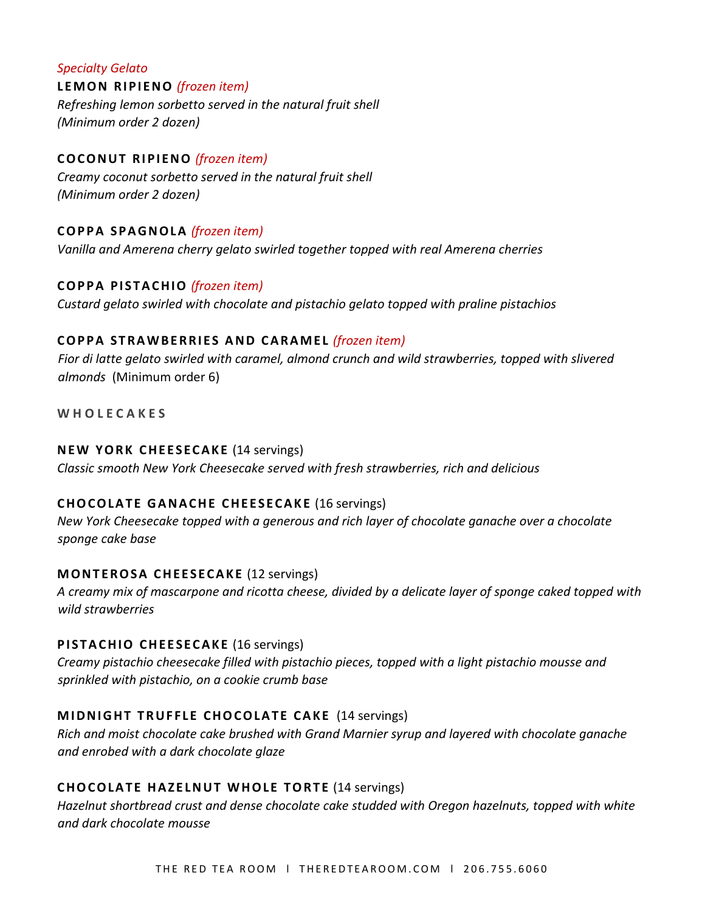*Specialty Gelato*  **LEMON RIPIENO** *(frozen item) Refreshing lemon sorbetto served in the natural fruit shell (Minimum order 2 dozen)* 

# **COCONUT RIPIENO** *(frozen item)*

*Creamy coconut sorbetto served in the natural fruit shell (Minimum order 2 dozen)* 

#### **COPPA SPAGNOLA** *(frozen item)*

*Vanilla and Amerena cherry gelato swirled together topped with real Amerena cherries*

#### **COPPA PISTACHIO** *(frozen item)*

*Custard gelato swirled with chocolate and pistachio gelato topped with praline pistachios*

#### **COPPA STRAWBERRIES AND CARAMEL** *(frozen item)*

*Fior di latte gelato swirled with caramel, almond crunch and wild strawberries, topped with slivered almonds* (Minimum order 6)

**W H O L E C A K E S** 

#### **NEW YORK CHEESECAKE** (14 servings)

*Classic smooth New York Cheesecake served with fresh strawberries, rich and delicious* 

#### **CHOCOLATE GANACHE CHEESECAKE** (16 servings)

*New York Cheesecake topped with a generous and rich layer of chocolate ganache over a chocolate sponge cake base* 

#### **MONTEROSA CHEESECAKE** (12 servings)

*A creamy mix of mascarpone and ricotta cheese, divided by a delicate layer of sponge caked topped with wild strawberries*

#### **PISTACHIO CHEESECAKE** (16 servings)

*Creamy pistachio cheesecake filled with pistachio pieces, topped with a light pistachio mousse and sprinkled with pistachio, on a cookie crumb base*

#### **MIDNIGHT TRUFFLE CHOCOLATE CAKE** (14 servings)

*Rich and moist chocolate cake brushed with Grand Marnier syrup and layered with chocolate ganache and enrobed with a dark chocolate glaze* 

#### **CHOCOLATE HAZELNUT WHOLE TORTE** (14 servings)

*Hazelnut shortbread crust and dense chocolate cake studded with Oregon hazelnuts, topped with white and dark chocolate mousse*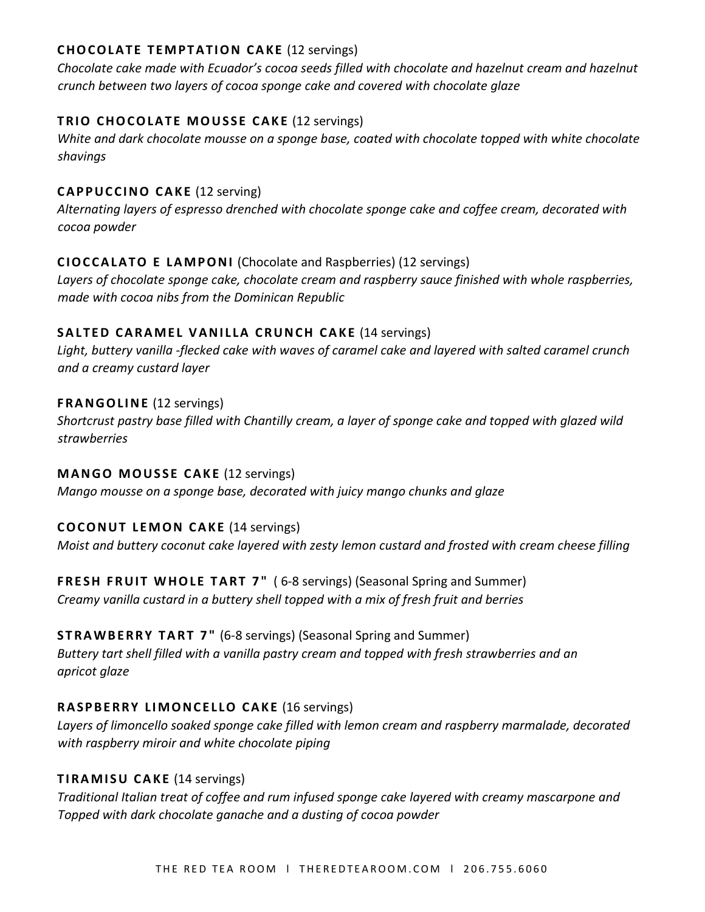# **CHOCOLATE TEMPTATION CAKE** (12 servings)

*Chocolate cake made with Ecuador's cocoa seeds filled with chocolate and hazelnut cream and hazelnut crunch between two layers of cocoa sponge cake and covered with chocolate glaze* 

# **TRIO CHOCOLATE MOUSSE CAKE (12 servings)**

*White and dark chocolate mousse on a sponge base, coated with chocolate topped with white chocolate shavings*

# **CAPPUCCINO CAKE** (12 serving)

*Alternating layers of espresso drenched with chocolate sponge cake and coffee cream, decorated with cocoa powder*

# **CIOCCALATO E LAMPONI** (Chocolate and Raspberries) (12 servings)

*Layers of chocolate sponge cake, chocolate cream and raspberry sauce finished with whole raspberries, made with cocoa nibs from the Dominican Republic*

# **SALTED CARAMEL VANILLA CRUNCH CAKE (14 servings)**

*Light, buttery vanilla -flecked cake with waves of caramel cake and layered with salted caramel crunch and a creamy custard layer*

# **FRANGOLINE** (12 servings)

*Shortcrust pastry base filled with Chantilly cream, a layer of sponge cake and topped with glazed wild strawberries*

# **MANGO MOUSSE CAKE** (12 servings)

*Mango mousse on a sponge base, decorated with juicy mango chunks and glaze*

# **COCONUT LEMON CAKE** (14 servings)

*Moist and buttery coconut cake layered with zesty lemon custard and frosted with cream cheese filling* 

# **FRESH FRUIT WHOLE TART 7"** ( 6-8 servings) (Seasonal Spring and Summer)

*Creamy vanilla custard in a buttery shell topped with a mix of fresh fruit and berries* 

# **STRAWBERRY TART 7"** (6-8 servings) (Seasonal Spring and Summer)

*Buttery tart shell filled with a vanilla pastry cream and topped with fresh strawberries and an apricot glaze* 

# **RASPBERRY LIMONCELLO CAKE** (16 servings)

*Layers of limoncello soaked sponge cake filled with lemon cream and raspberry marmalade, decorated with raspberry miroir and white chocolate piping* 

# **TIRAMISU CAKE** (14 servings)

*Traditional Italian treat of coffee and rum infused sponge cake layered with creamy mascarpone and Topped with dark chocolate ganache and a dusting of cocoa powder*